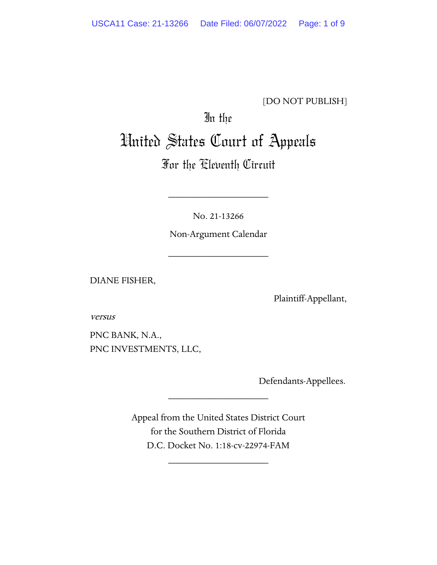#### [DO NOT PUBLISH]

# In the United States Court of Appeals

## For the Eleventh Circuit

No. 21-13266

\_\_\_\_\_\_\_\_\_\_\_\_\_\_\_\_\_\_\_\_

Non-Argument Calendar

\_\_\_\_\_\_\_\_\_\_\_\_\_\_\_\_\_\_\_\_

DIANE FISHER,

Plaintiff-Appellant,

versus

PNC BANK, N.A., PNC INVESTMENTS, LLC,

Defendants-Appellees.

Appeal from the United States District Court for the Southern District of Florida D.C. Docket No. 1:18-cv-22974-FAM

\_\_\_\_\_\_\_\_\_\_\_\_\_\_\_\_\_\_\_\_

\_\_\_\_\_\_\_\_\_\_\_\_\_\_\_\_\_\_\_\_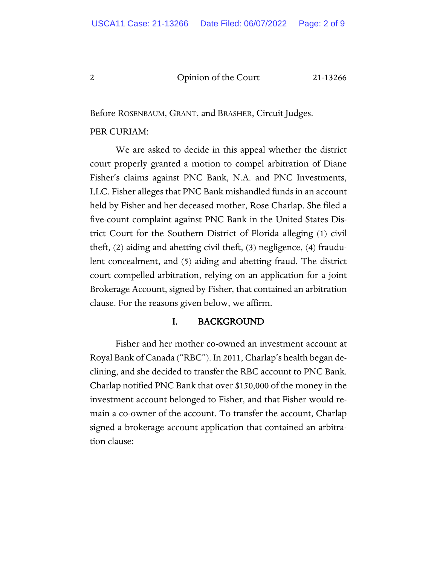Before ROSENBAUM, GRANT, and BRASHER, Circuit Judges.

#### PER CURIAM:

We are asked to decide in this appeal whether the district court properly granted a motion to compel arbitration of Diane Fisher's claims against PNC Bank, N.A. and PNC Investments, LLC. Fisher alleges that PNC Bank mishandled funds in an account held by Fisher and her deceased mother, Rose Charlap. She filed a five-count complaint against PNC Bank in the United States District Court for the Southern District of Florida alleging (1) civil theft, (2) aiding and abetting civil theft, (3) negligence, (4) fraudulent concealment, and (5) aiding and abetting fraud. The district court compelled arbitration, relying on an application for a joint Brokerage Account, signed by Fisher, that contained an arbitration clause. For the reasons given below, we affirm.

#### I. BACKGROUND

Fisher and her mother co-owned an investment account at Royal Bank of Canada ("RBC"). In 2011, Charlap's health began declining, and she decided to transfer the RBC account to PNC Bank. Charlap notified PNC Bank that over \$150,000 of the money in the investment account belonged to Fisher, and that Fisher would remain a co-owner of the account. To transfer the account, Charlap signed a brokerage account application that contained an arbitration clause: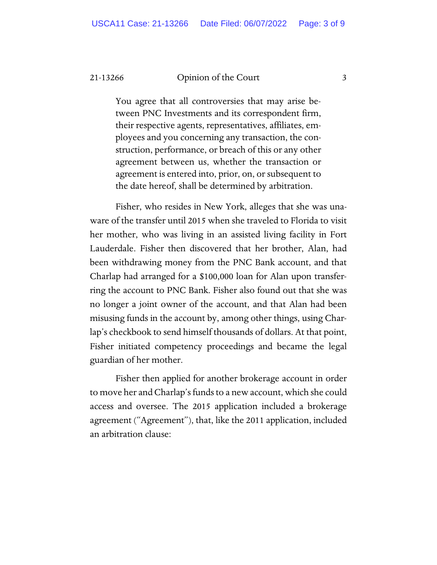You agree that all controversies that may arise between PNC Investments and its correspondent firm, their respective agents, representatives, affiliates, employees and you concerning any transaction, the construction, performance, or breach of this or any other agreement between us, whether the transaction or agreement is entered into, prior, on, or subsequent to the date hereof, shall be determined by arbitration.

Fisher, who resides in New York, alleges that she was unaware of the transfer until 2015 when she traveled to Florida to visit her mother, who was living in an assisted living facility in Fort Lauderdale. Fisher then discovered that her brother, Alan, had been withdrawing money from the PNC Bank account, and that Charlap had arranged for a \$100,000 loan for Alan upon transferring the account to PNC Bank. Fisher also found out that she was no longer a joint owner of the account, and that Alan had been misusing funds in the account by, among other things, using Charlap's checkbook to send himself thousands of dollars. At that point, Fisher initiated competency proceedings and became the legal guardian of her mother.

Fisher then applied for another brokerage account in order to move her and Charlap's funds to a new account, which she could access and oversee. The 2015 application included a brokerage agreement ("Agreement"), that, like the 2011 application, included an arbitration clause: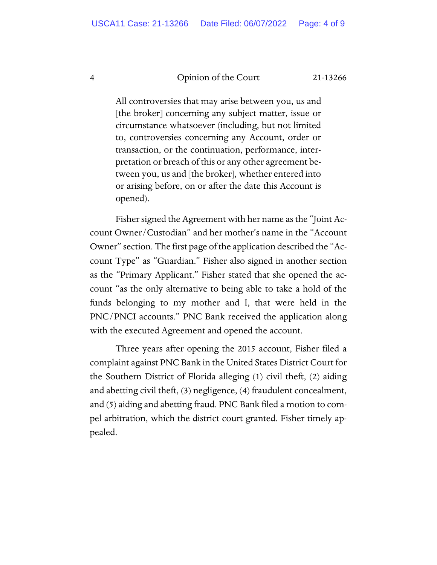All controversies that may arise between you, us and [the broker] concerning any subject matter, issue or circumstance whatsoever (including, but not limited to, controversies concerning any Account, order or transaction, or the continuation, performance, interpretation or breach of this or any other agreement between you, us and [the broker], whether entered into or arising before, on or after the date this Account is opened).

Fisher signed the Agreement with her name as the "Joint Account Owner/Custodian" and her mother's name in the "Account Owner" section. The first page of the application described the "Account Type" as "Guardian." Fisher also signed in another section as the "Primary Applicant." Fisher stated that she opened the account "as the only alternative to being able to take a hold of the funds belonging to my mother and I, that were held in the PNC/PNCI accounts." PNC Bank received the application along with the executed Agreement and opened the account.

Three years after opening the 2015 account, Fisher filed a complaint against PNC Bank in the United States District Court for the Southern District of Florida alleging (1) civil theft, (2) aiding and abetting civil theft, (3) negligence, (4) fraudulent concealment, and (5) aiding and abetting fraud. PNC Bank filed a motion to compel arbitration, which the district court granted. Fisher timely appealed.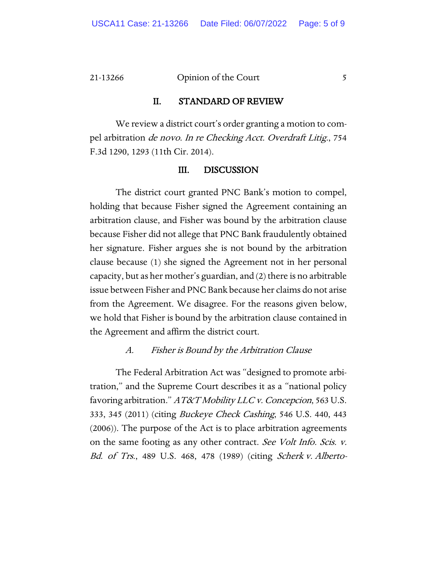#### II. STANDARD OF REVIEW

We review a district court's order granting a motion to compel arbitration de novo. In re Checking Acct. Overdraft Litig., 754 F.3d 1290, 1293 (11th Cir. 2014).

#### III. DISCUSSION

The district court granted PNC Bank's motion to compel, holding that because Fisher signed the Agreement containing an arbitration clause, and Fisher was bound by the arbitration clause because Fisher did not allege that PNC Bank fraudulently obtained her signature. Fisher argues she is not bound by the arbitration clause because (1) she signed the Agreement not in her personal capacity, but as her mother's guardian, and (2) there is no arbitrable issue between Fisher and PNC Bank because her claims do not arise from the Agreement. We disagree. For the reasons given below, we hold that Fisher is bound by the arbitration clause contained in the Agreement and affirm the district court.

#### A. Fisher is Bound by the Arbitration Clause

The Federal Arbitration Act was "designed to promote arbitration," and the Supreme Court describes it as a "national policy favoring arbitration." AT&T Mobility LLC v. Concepcion, 563 U.S. 333, 345 (2011) (citing Buckeye Check Cashing, 546 U.S. 440, 443 (2006)). The purpose of the Act is to place arbitration agreements on the same footing as any other contract. See Volt Info. Scis. v. Bd. of Trs., 489 U.S. 468, 478 (1989) (citing Scherk v. Alberto-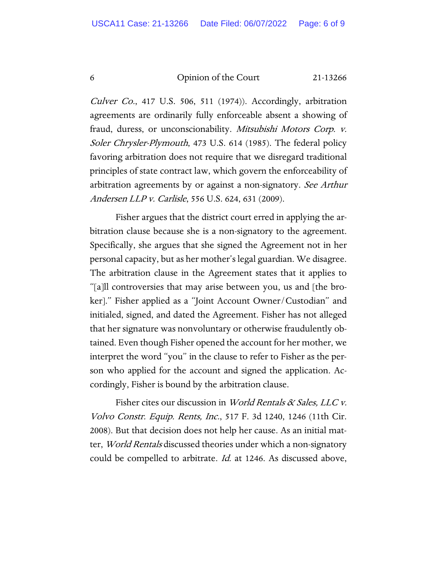Culver Co., 417 U.S. 506, 511 (1974)). Accordingly, arbitration agreements are ordinarily fully enforceable absent a showing of fraud, duress, or unconscionability. Mitsubishi Motors Corp. v. Soler Chrysler-Plymouth, 473 U.S. 614 (1985). The federal policy favoring arbitration does not require that we disregard traditional principles of state contract law, which govern the enforceability of arbitration agreements by or against a non-signatory. See Arthur Andersen LLP v. Carlisle, 556 U.S. 624, 631 (2009).

Fisher argues that the district court erred in applying the arbitration clause because she is a non-signatory to the agreement. Specifically, she argues that she signed the Agreement not in her personal capacity, but as her mother's legal guardian. We disagree. The arbitration clause in the Agreement states that it applies to "[a]ll controversies that may arise between you, us and [the broker]." Fisher applied as a "Joint Account Owner/Custodian" and initialed, signed, and dated the Agreement. Fisher has not alleged that her signature was nonvoluntary or otherwise fraudulently obtained. Even though Fisher opened the account for her mother, we interpret the word "you" in the clause to refer to Fisher as the person who applied for the account and signed the application. Accordingly, Fisher is bound by the arbitration clause.

Fisher cites our discussion in *World Rentals & Sales, LLC v.* Volvo Constr. Equip. Rents, Inc., 517 F. 3d 1240, 1246 (11th Cir. 2008). But that decision does not help her cause. As an initial matter, *World Rentals* discussed theories under which a non-signatory could be compelled to arbitrate. *Id.* at 1246. As discussed above,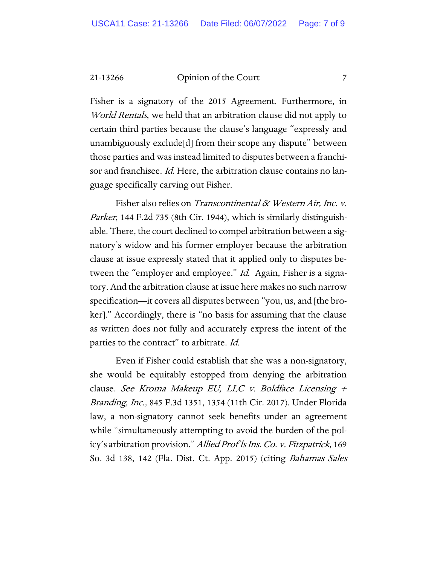Fisher is a signatory of the 2015 Agreement. Furthermore, in World Rentals, we held that an arbitration clause did not apply to certain third parties because the clause's language "expressly and unambiguously exclude[d] from their scope any dispute" between those parties and was instead limited to disputes between a franchisor and franchisee. *Id*. Here, the arbitration clause contains no language specifically carving out Fisher.

Fisher also relies on Transcontinental & Western Air, Inc. v. Parker, 144 F.2d 735 (8th Cir. 1944), which is similarly distinguishable. There, the court declined to compel arbitration between a signatory's widow and his former employer because the arbitration clause at issue expressly stated that it applied only to disputes between the "employer and employee." Id. Again, Fisher is a signatory. And the arbitration clause at issue here makes no such narrow specification—it covers all disputes between "you, us, and [the broker]." Accordingly, there is "no basis for assuming that the clause as written does not fully and accurately express the intent of the parties to the contract" to arbitrate. Id.

Even if Fisher could establish that she was a non-signatory, she would be equitably estopped from denying the arbitration clause. See Kroma Makeup EU, LLC v. Boldface Licensing  $+$ Branding, Inc., 845 F.3d 1351, 1354 (11th Cir. 2017). Under Florida law, a non-signatory cannot seek benefits under an agreement while "simultaneously attempting to avoid the burden of the policy's arbitration provision." Allied Prof'ls Ins. Co. v. Fitzpatrick, 169 So. 3d 138, 142 (Fla. Dist. Ct. App. 2015) (citing Bahamas Sales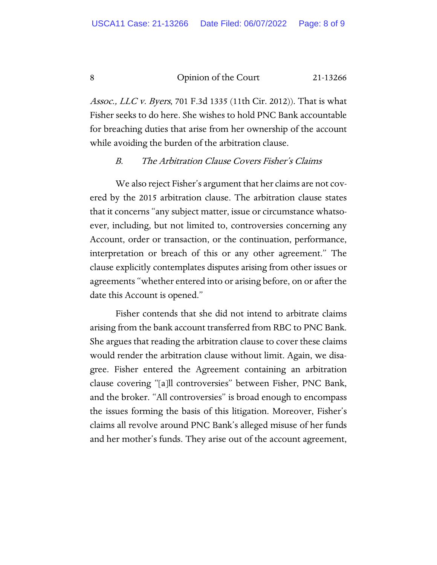Assoc., LLC v. Byers, 701 F.3d 1335 (11th Cir. 2012)). That is what Fisher seeks to do here. She wishes to hold PNC Bank accountable for breaching duties that arise from her ownership of the account while avoiding the burden of the arbitration clause.

#### B. The Arbitration Clause Covers Fisher's Claims

We also reject Fisher's argument that her claims are not covered by the 2015 arbitration clause. The arbitration clause states that it concerns "any subject matter, issue or circumstance whatsoever, including, but not limited to, controversies concerning any Account, order or transaction, or the continuation, performance, interpretation or breach of this or any other agreement." The clause explicitly contemplates disputes arising from other issues or agreements "whether entered into or arising before, on or after the date this Account is opened."

Fisher contends that she did not intend to arbitrate claims arising from the bank account transferred from RBC to PNC Bank. She argues that reading the arbitration clause to cover these claims would render the arbitration clause without limit. Again, we disagree. Fisher entered the Agreement containing an arbitration clause covering "[a]ll controversies" between Fisher, PNC Bank, and the broker. "All controversies" is broad enough to encompass the issues forming the basis of this litigation. Moreover, Fisher's claims all revolve around PNC Bank's alleged misuse of her funds and her mother's funds. They arise out of the account agreement,